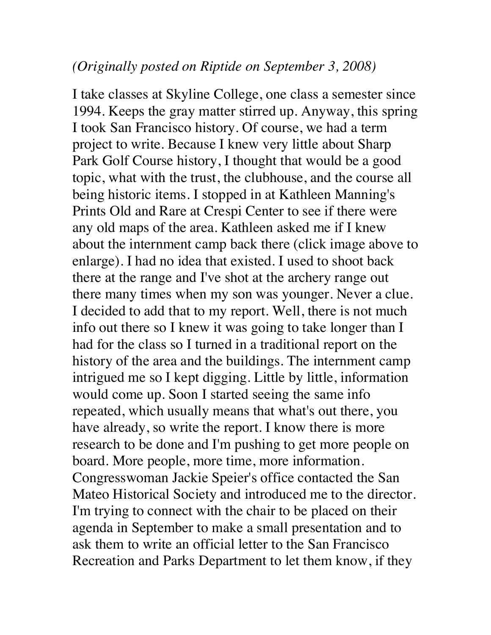## *(Originally posted on Riptide on September 3, 2008)*

I take classes at Skyline College, one class a semester since 1994. Keeps the gray matter stirred up. Anyway, this spring I took San Francisco history. Of course, we had a term project to write. Because I knew very little about Sharp Park Golf Course history, I thought that would be a good topic, what with the trust, the clubhouse, and the course all being historic items. I stopped in at Kathleen Manning's Prints Old and Rare at Crespi Center to see if there were any old maps of the area. Kathleen asked me if I knew about the internment camp back there (click image above to enlarge). I had no idea that existed. I used to shoot back there at the range and I've shot at the archery range out there many times when my son was younger. Never a clue. I decided to add that to my report. Well, there is not much info out there so I knew it was going to take longer than I had for the class so I turned in a traditional report on the history of the area and the buildings. The internment camp intrigued me so I kept digging. Little by little, information would come up. Soon I started seeing the same info repeated, which usually means that what's out there, you have already, so write the report. I know there is more research to be done and I'm pushing to get more people on board. More people, more time, more information. Congresswoman Jackie Speier's office contacted the San Mateo Historical Society and introduced me to the director. I'm trying to connect with the chair to be placed on their agenda in September to make a small presentation and to ask them to write an official letter to the San Francisco Recreation and Parks Department to let them know, if they